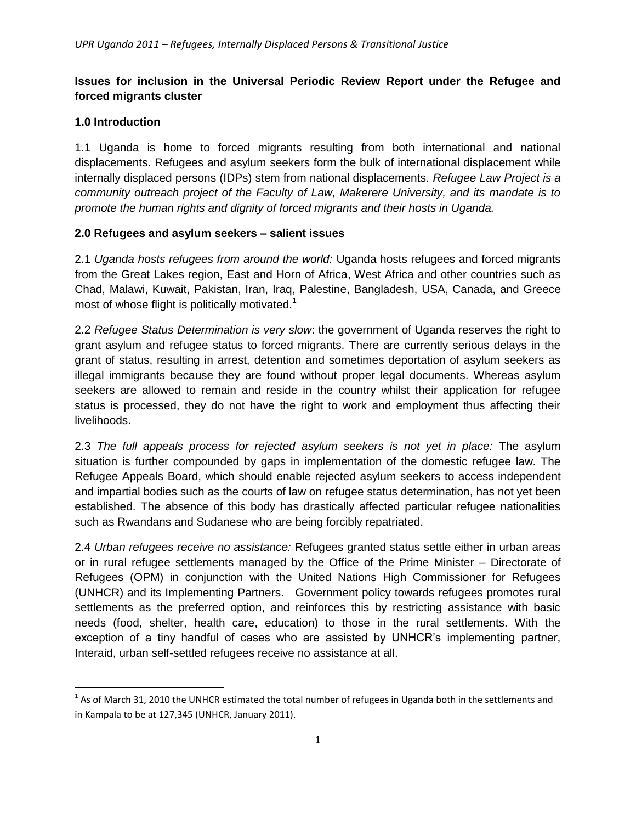# **Issues for inclusion in the Universal Periodic Review Report under the Refugee and forced migrants cluster**

# **1.0 Introduction**

 $\overline{a}$ 

1.1 Uganda is home to forced migrants resulting from both international and national displacements. Refugees and asylum seekers form the bulk of international displacement while internally displaced persons (IDPs) stem from national displacements. *Refugee Law Project is a community outreach project of the Faculty of Law, Makerere University, and its mandate is to promote the human rights and dignity of forced migrants and their hosts in Uganda.*

## **2.0 Refugees and asylum seekers – salient issues**

2.1 *Uganda hosts refugees from around the world:* Uganda hosts refugees and forced migrants from the Great Lakes region, East and Horn of Africa, West Africa and other countries such as Chad, Malawi, Kuwait, Pakistan, Iran, Iraq, Palestine, Bangladesh, USA, Canada, and Greece most of whose flight is politically motivated.<sup>1</sup>

2.2 *Refugee Status Determination is very slow*: the government of Uganda reserves the right to grant asylum and refugee status to forced migrants. There are currently serious delays in the grant of status, resulting in arrest, detention and sometimes deportation of asylum seekers as illegal immigrants because they are found without proper legal documents. Whereas asylum seekers are allowed to remain and reside in the country whilst their application for refugee status is processed, they do not have the right to work and employment thus affecting their livelihoods.

2.3 *The full appeals process for rejected asylum seekers is not yet in place:* The asylum situation is further compounded by gaps in implementation of the domestic refugee law. The Refugee Appeals Board, which should enable rejected asylum seekers to access independent and impartial bodies such as the courts of law on refugee status determination, has not yet been established. The absence of this body has drastically affected particular refugee nationalities such as Rwandans and Sudanese who are being forcibly repatriated.

2.4 *Urban refugees receive no assistance:* Refugees granted status settle either in urban areas or in rural refugee settlements managed by the Office of the Prime Minister – Directorate of Refugees (OPM) in conjunction with the United Nations High Commissioner for Refugees (UNHCR) and its Implementing Partners. Government policy towards refugees promotes rural settlements as the preferred option, and reinforces this by restricting assistance with basic needs (food, shelter, health care, education) to those in the rural settlements. With the exception of a tiny handful of cases who are assisted by UNHCR"s implementing partner, Interaid, urban self-settled refugees receive no assistance at all.

 $^{1}$  As of March 31, 2010 the UNHCR estimated the total number of refugees in Uganda both in the settlements and in Kampala to be at 127,345 (UNHCR, January 2011).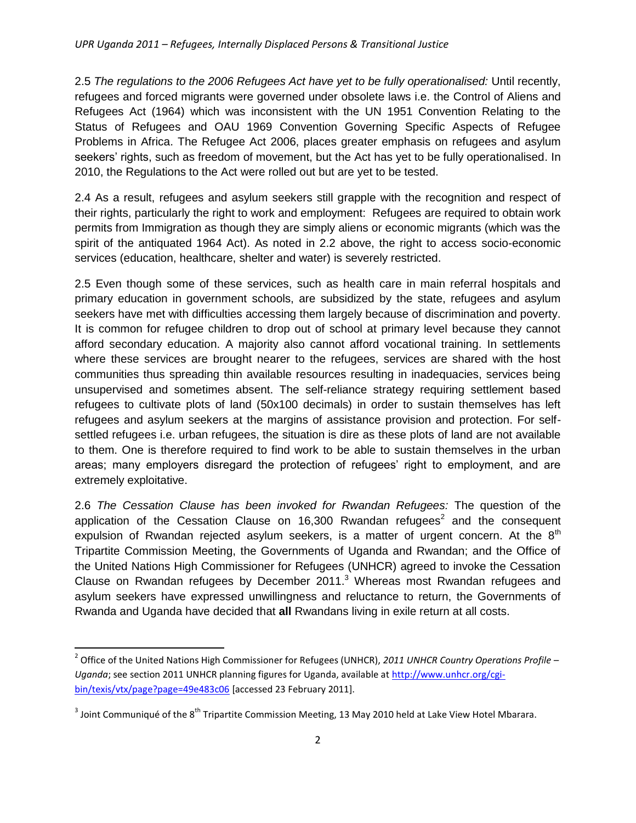2.5 *The regulations to the 2006 Refugees Act have yet to be fully operationalised:* Until recently, refugees and forced migrants were governed under obsolete laws i.e. the Control of Aliens and Refugees Act (1964) which was inconsistent with the UN 1951 Convention Relating to the Status of Refugees and OAU 1969 Convention Governing Specific Aspects of Refugee Problems in Africa. The Refugee Act 2006, places greater emphasis on refugees and asylum seekers' rights, such as freedom of movement, but the Act has yet to be fully operationalised. In 2010, the Regulations to the Act were rolled out but are yet to be tested.

2.4 As a result, refugees and asylum seekers still grapple with the recognition and respect of their rights, particularly the right to work and employment: Refugees are required to obtain work permits from Immigration as though they are simply aliens or economic migrants (which was the spirit of the antiquated 1964 Act). As noted in 2.2 above, the right to access socio-economic services (education, healthcare, shelter and water) is severely restricted.

2.5 Even though some of these services, such as health care in main referral hospitals and primary education in government schools, are subsidized by the state, refugees and asylum seekers have met with difficulties accessing them largely because of discrimination and poverty. It is common for refugee children to drop out of school at primary level because they cannot afford secondary education. A majority also cannot afford vocational training. In settlements where these services are brought nearer to the refugees, services are shared with the host communities thus spreading thin available resources resulting in inadequacies, services being unsupervised and sometimes absent. The self-reliance strategy requiring settlement based refugees to cultivate plots of land (50x100 decimals) in order to sustain themselves has left refugees and asylum seekers at the margins of assistance provision and protection. For selfsettled refugees i.e. urban refugees, the situation is dire as these plots of land are not available to them. One is therefore required to find work to be able to sustain themselves in the urban areas; many employers disregard the protection of refugees' right to employment, and are extremely exploitative.

2.6 *The Cessation Clause has been invoked for Rwandan Refugees:* The question of the application of the Cessation Clause on 16,300 Rwandan refugees<sup>2</sup> and the consequent expulsion of Rwandan rejected asylum seekers, is a matter of urgent concern. At the  $8<sup>th</sup>$ Tripartite Commission Meeting, the Governments of Uganda and Rwandan; and the Office of the United Nations High Commissioner for Refugees (UNHCR) agreed to invoke the Cessation Clause on Rwandan refugees by December 2011.<sup>3</sup> Whereas most Rwandan refugees and asylum seekers have expressed unwillingness and reluctance to return, the Governments of Rwanda and Uganda have decided that **all** Rwandans living in exile return at all costs.

l

<sup>2</sup> Office of the United Nations High Commissioner for Refugees (UNHCR), *2011 UNHCR Country Operations Profile – Uganda*; see section 2011 UNHCR planning figures for Uganda, available at [http://www.unhcr.org/cgi](http://www.unhcr.org/cgi-bin/texis/vtx/page?page=49e483c06)[bin/texis/vtx/page?page=49e483c06](http://www.unhcr.org/cgi-bin/texis/vtx/page?page=49e483c06) [accessed 23 February 2011].

<sup>&</sup>lt;sup>3</sup> Joint Communiqué of the 8<sup>th</sup> Tripartite Commission Meeting, 13 May 2010 held at Lake View Hotel Mbarara.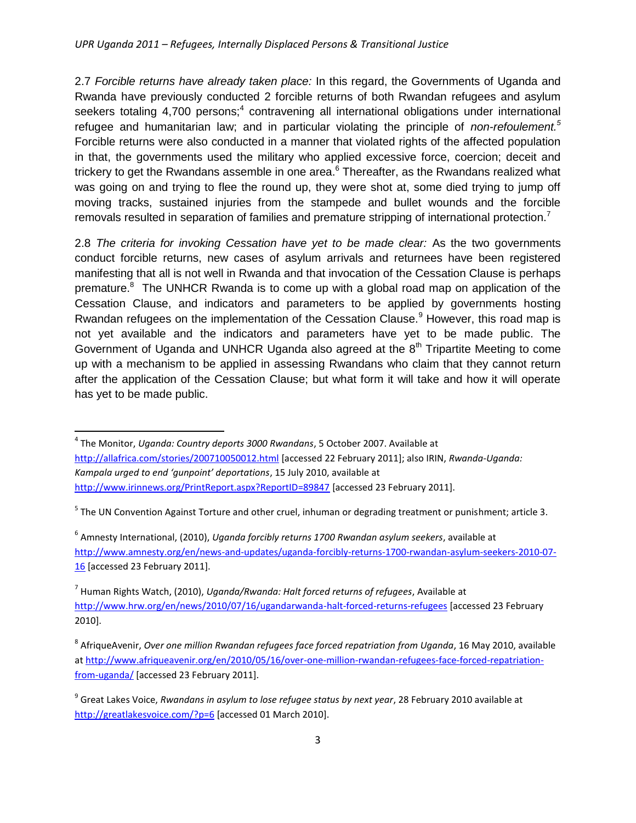2.7 *Forcible returns have already taken place:* In this regard, the Governments of Uganda and Rwanda have previously conducted 2 forcible returns of both Rwandan refugees and asylum seekers totaling 4,700 persons;<sup>4</sup> contravening all international obligations under international refugee and humanitarian law; and in particular violating the principle of *non-refoulement.<sup>5</sup>* Forcible returns were also conducted in a manner that violated rights of the affected population in that, the governments used the military who applied excessive force, coercion; deceit and trickery to get the Rwandans assemble in one area. $6$  Thereafter, as the Rwandans realized what was going on and trying to flee the round up, they were shot at, some died trying to jump off moving tracks, sustained injuries from the stampede and bullet wounds and the forcible removals resulted in separation of families and premature stripping of international protection.<sup>7</sup>

2.8 *The criteria for invoking Cessation have yet to be made clear:* As the two governments conduct forcible returns, new cases of asylum arrivals and returnees have been registered manifesting that all is not well in Rwanda and that invocation of the Cessation Clause is perhaps premature.<sup>8</sup> The UNHCR Rwanda is to come up with a global road map on application of the Cessation Clause, and indicators and parameters to be applied by governments hosting Rwandan refugees on the implementation of the Cessation Clause.<sup>9</sup> However, this road map is not yet available and the indicators and parameters have yet to be made public. The Government of Uganda and UNHCR Uganda also agreed at the  $8<sup>th</sup>$  Tripartite Meeting to come up with a mechanism to be applied in assessing Rwandans who claim that they cannot return after the application of the Cessation Clause; but what form it will take and how it will operate has yet to be made public.

 $\overline{\phantom{a}}$ 

6 Amnesty International, (2010), *Uganda forcibly returns 1700 Rwandan asylum seekers*, available at [http://www.amnesty.org/en/news-and-updates/uganda-forcibly-returns-1700-rwandan-asylum-seekers-2010-07-](http://www.amnesty.org/en/news-and-updates/uganda-forcibly-returns-1700-rwandan-asylum-seekers-2010-07-16) [16](http://www.amnesty.org/en/news-and-updates/uganda-forcibly-returns-1700-rwandan-asylum-seekers-2010-07-16) [accessed 23 February 2011].

7 Human Rights Watch, (2010), *Uganda/Rwanda: Halt forced returns of refugees*, Available at <http://www.hrw.org/en/news/2010/07/16/ugandarwanda-halt-forced-returns-refugees> [accessed 23 February 2010].

<sup>4</sup> The Monitor, *Uganda: Country deports 3000 Rwandans*, 5 October 2007. Available at <http://allafrica.com/stories/200710050012.html> [accessed 22 February 2011]; also IRIN, *Rwanda-Uganda: Kampala urged to end 'gunpoint' deportations*, 15 July 2010, available at <http://www.irinnews.org/PrintReport.aspx?ReportID=89847> [accessed 23 February 2011].

<sup>&</sup>lt;sup>5</sup> The UN Convention Against Torture and other cruel, inhuman or degrading treatment or punishment; article 3.

<sup>8</sup> AfriqueAvenir, *Over one million Rwandan refugees face forced repatriation from Uganda*, 16 May 2010, available a[t http://www.afriqueavenir.org/en/2010/05/16/over-one-million-rwandan-refugees-face-forced-repatriation](http://www.afriqueavenir.org/en/2010/05/16/over-one-million-rwandan-refugees-face-forced-repatriation-from-uganda/)[from-uganda/](http://www.afriqueavenir.org/en/2010/05/16/over-one-million-rwandan-refugees-face-forced-repatriation-from-uganda/) [accessed 23 February 2011].

<sup>&</sup>lt;sup>9</sup> Great Lakes Voice, *Rwandans in asylum to lose refugee status by next year*, 28 February 2010 available at <http://greatlakesvoice.com/?p=6> [accessed 01 March 2010].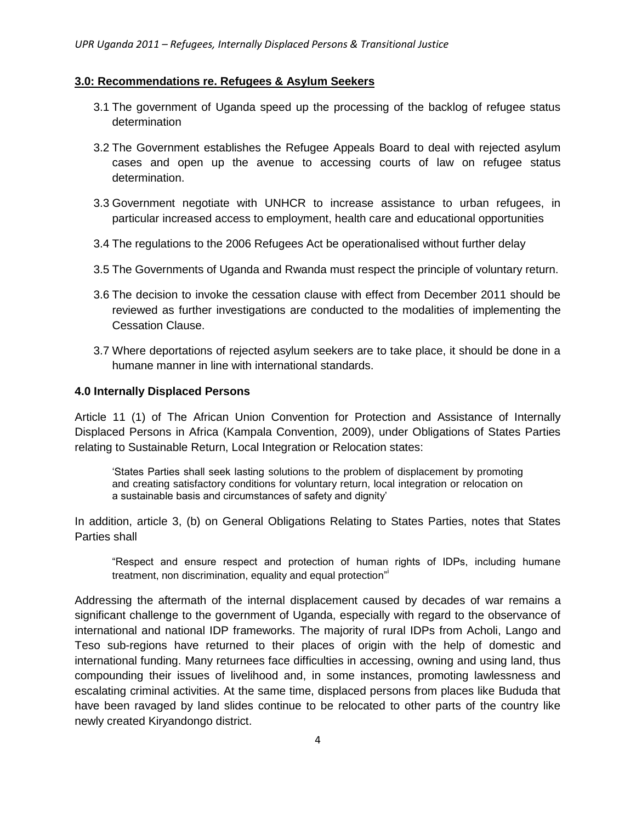## **3.0: Recommendations re. Refugees & Asylum Seekers**

- 3.1 The government of Uganda speed up the processing of the backlog of refugee status determination
- 3.2 The Government establishes the Refugee Appeals Board to deal with rejected asylum cases and open up the avenue to accessing courts of law on refugee status determination.
- 3.3 Government negotiate with UNHCR to increase assistance to urban refugees, in particular increased access to employment, health care and educational opportunities
- 3.4 The regulations to the 2006 Refugees Act be operationalised without further delay
- 3.5 The Governments of Uganda and Rwanda must respect the principle of voluntary return.
- 3.6 The decision to invoke the cessation clause with effect from December 2011 should be reviewed as further investigations are conducted to the modalities of implementing the Cessation Clause.
- 3.7 Where deportations of rejected asylum seekers are to take place, it should be done in a humane manner in line with international standards.

#### **4.0 Internally Displaced Persons**

Article 11 (1) of The African Union Convention for Protection and Assistance of Internally Displaced Persons in Africa (Kampala Convention, 2009), under Obligations of States Parties relating to Sustainable Return, Local Integration or Relocation states:

"States Parties shall seek lasting solutions to the problem of displacement by promoting and creating satisfactory conditions for voluntary return, local integration or relocation on a sustainable basis and circumstances of safety and dignity"

In addition, article 3, (b) on General Obligations Relating to States Parties, notes that States Parties shall

"Respect and ensure respect and protection of human rights of IDPs, including humane treatment, non discrimination, equality and equal protection"

Addressing the aftermath of the internal displacement caused by decades of war remains a significant challenge to the government of Uganda, especially with regard to the observance of international and national IDP frameworks. The majority of rural IDPs from Acholi, Lango and Teso sub-regions have returned to their places of origin with the help of domestic and international funding. Many returnees face difficulties in accessing, owning and using land, thus compounding their issues of livelihood and, in some instances, promoting lawlessness and escalating criminal activities. At the same time, displaced persons from places like Bududa that have been ravaged by land slides continue to be relocated to other parts of the country like newly created Kiryandongo district.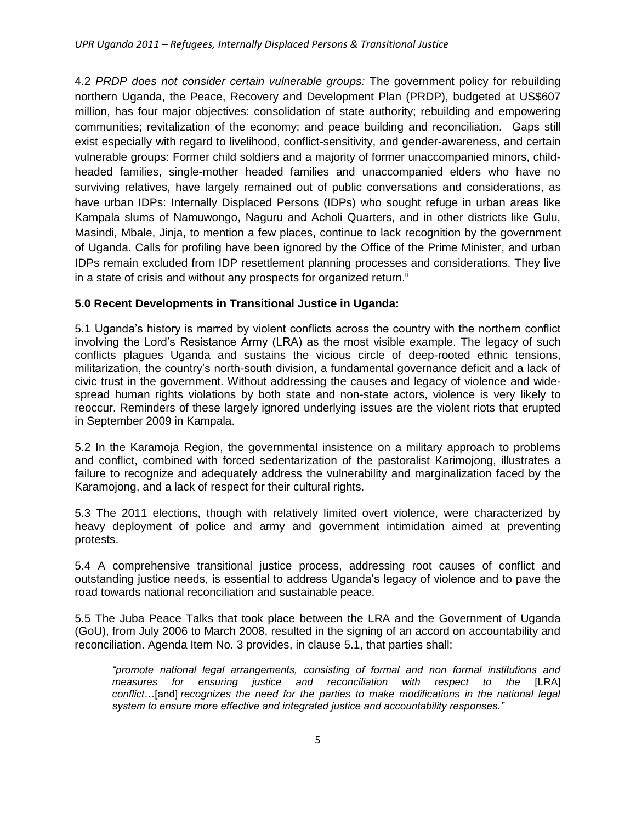4.2 *PRDP does not consider certain vulnerable groups:* The government policy for rebuilding northern Uganda, the Peace, Recovery and Development Plan (PRDP), budgeted at US\$607 million, has four major objectives: consolidation of state authority; rebuilding and empowering communities; revitalization of the economy; and peace building and reconciliation. Gaps still exist especially with regard to livelihood, conflict-sensitivity, and gender-awareness, and certain vulnerable groups: Former child soldiers and a majority of former unaccompanied minors, childheaded families, single-mother headed families and unaccompanied elders who have no surviving relatives, have largely remained out of public conversations and considerations, as have urban IDPs: Internally Displaced Persons (IDPs) who sought refuge in urban areas like Kampala slums of Namuwongo, Naguru and Acholi Quarters, and in other districts like Gulu, Masindi, Mbale, Jinja, to mention a few places, continue to lack recognition by the government of Uganda. Calls for profiling have been ignored by the Office of the Prime Minister, and urban IDPs remain excluded from IDP resettlement planning processes and considerations. They live in a state of crisis and without any prospects for organized return. $\mathbb{I}$ 

# **5.0 Recent Developments in Transitional Justice in Uganda:**

5.1 Uganda"s history is marred by violent conflicts across the country with the northern conflict involving the Lord"s Resistance Army (LRA) as the most visible example. The legacy of such conflicts plagues Uganda and sustains the vicious circle of deep-rooted ethnic tensions, militarization, the country"s north-south division, a fundamental governance deficit and a lack of civic trust in the government. Without addressing the causes and legacy of violence and widespread human rights violations by both state and non-state actors, violence is very likely to reoccur. Reminders of these largely ignored underlying issues are the violent riots that erupted in September 2009 in Kampala.

5.2 In the Karamoja Region, the governmental insistence on a military approach to problems and conflict, combined with forced sedentarization of the pastoralist Karimojong, illustrates a failure to recognize and adequately address the vulnerability and marginalization faced by the Karamojong, and a lack of respect for their cultural rights.

5.3 The 2011 elections, though with relatively limited overt violence, were characterized by heavy deployment of police and army and government intimidation aimed at preventing protests.

5.4 A comprehensive transitional justice process, addressing root causes of conflict and outstanding justice needs, is essential to address Uganda"s legacy of violence and to pave the road towards national reconciliation and sustainable peace.

5.5 The Juba Peace Talks that took place between the LRA and the Government of Uganda (GoU), from July 2006 to March 2008, resulted in the signing of an accord on accountability and reconciliation. Agenda Item No. 3 provides, in clause 5.1, that parties shall:

*"promote national legal arrangements, consisting of formal and non formal institutions and measures for ensuring justice and reconciliation with respect to the* [LRA] *conflict*…[and] *recognizes the need for the parties to make modifications in the national legal system to ensure more effective and integrated justice and accountability responses."*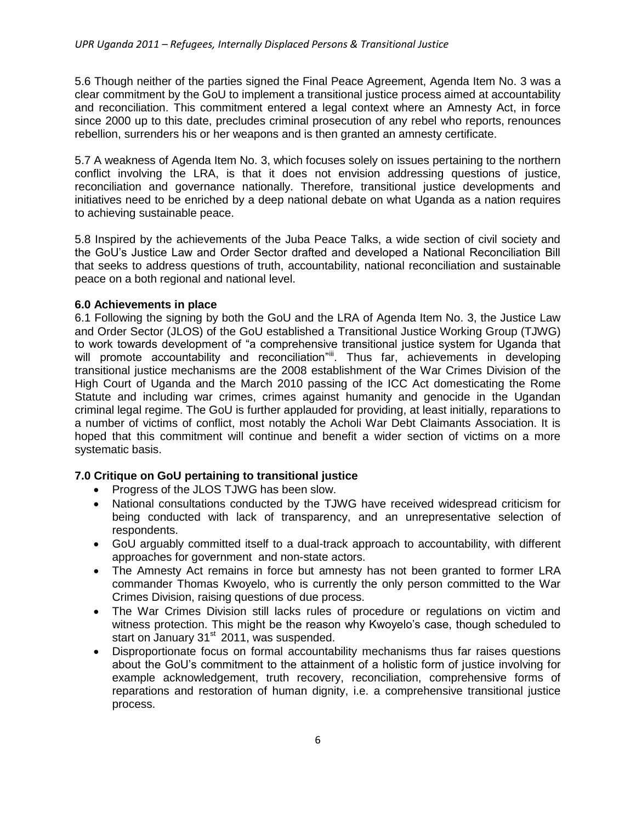5.6 Though neither of the parties signed the Final Peace Agreement, Agenda Item No. 3 was a clear commitment by the GoU to implement a transitional justice process aimed at accountability and reconciliation. This commitment entered a legal context where an Amnesty Act, in force since 2000 up to this date, precludes criminal prosecution of any rebel who reports, renounces rebellion, surrenders his or her weapons and is then granted an amnesty certificate.

5.7 A weakness of Agenda Item No. 3, which focuses solely on issues pertaining to the northern conflict involving the LRA, is that it does not envision addressing questions of justice, reconciliation and governance nationally. Therefore, transitional justice developments and initiatives need to be enriched by a deep national debate on what Uganda as a nation requires to achieving sustainable peace.

5.8 Inspired by the achievements of the Juba Peace Talks, a wide section of civil society and the GoU"s Justice Law and Order Sector drafted and developed a National Reconciliation Bill that seeks to address questions of truth, accountability, national reconciliation and sustainable peace on a both regional and national level.

## **6.0 Achievements in place**

6.1 Following the signing by both the GoU and the LRA of Agenda Item No. 3, the Justice Law and Order Sector (JLOS) of the GoU established a Transitional Justice Working Group (TJWG) to work towards development of "a comprehensive transitional justice system for Uganda that will promote accountability and reconciliation"". Thus far, achievements in developing transitional justice mechanisms are the 2008 establishment of the War Crimes Division of the High Court of Uganda and the March 2010 passing of the ICC Act domesticating the Rome Statute and including war crimes, crimes against humanity and genocide in the Ugandan criminal legal regime. The GoU is further applauded for providing, at least initially, reparations to a number of victims of conflict, most notably the Acholi War Debt Claimants Association. It is hoped that this commitment will continue and benefit a wider section of victims on a more systematic basis.

## **7.0 Critique on GoU pertaining to transitional justice**

- Progress of the JLOS TJWG has been slow.
- National consultations conducted by the TJWG have received widespread criticism for being conducted with lack of transparency, and an unrepresentative selection of respondents.
- GoU arguably committed itself to a dual-track approach to accountability, with different approaches for government and non-state actors.
- The Amnesty Act remains in force but amnesty has not been granted to former LRA commander Thomas Kwoyelo, who is currently the only person committed to the War Crimes Division, raising questions of due process.
- The War Crimes Division still lacks rules of procedure or regulations on victim and witness protection. This might be the reason why Kwoyelo"s case, though scheduled to start on January  $31<sup>st</sup>$  2011, was suspended.
- Disproportionate focus on formal accountability mechanisms thus far raises questions about the GoU"s commitment to the attainment of a holistic form of justice involving for example acknowledgement, truth recovery, reconciliation, comprehensive forms of reparations and restoration of human dignity, i.e. a comprehensive transitional justice process.